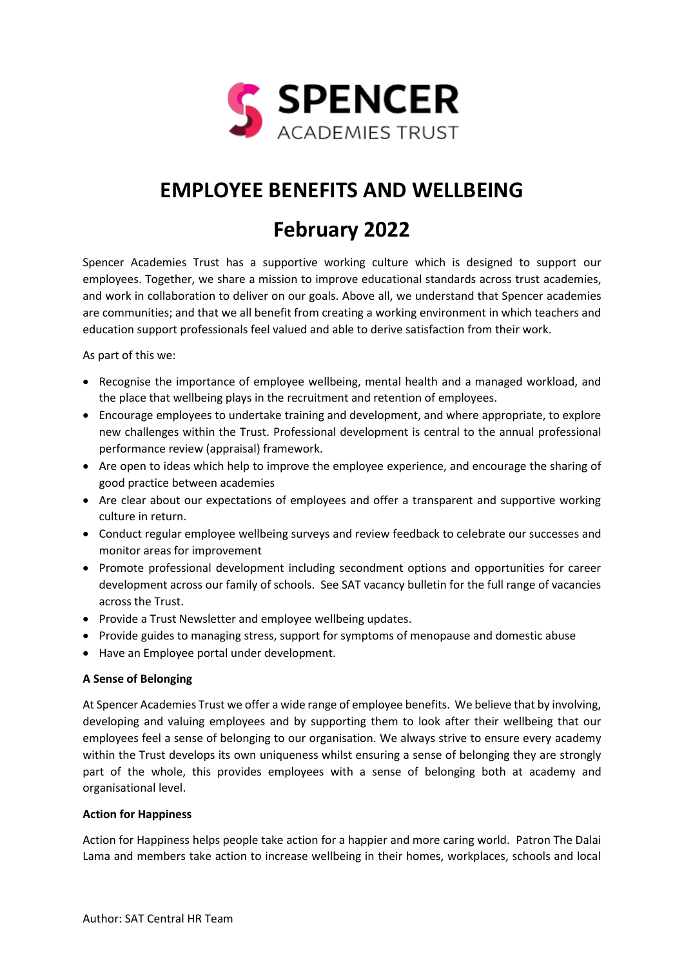

# **EMPLOYEE BENEFITS AND WELLBEING**

# **February 2022**

Spencer Academies Trust has a supportive working culture which is designed to support our employees. Together, we share a mission to improve educational standards across trust academies, and work in collaboration to deliver on our goals. Above all, we understand that Spencer academies are communities; and that we all benefit from creating a working environment in which teachers and education support professionals feel valued and able to derive satisfaction from their work.

As part of this we:

- Recognise the importance of employee wellbeing, mental health and a managed workload, and the place that wellbeing plays in the recruitment and retention of employees.
- Encourage employees to undertake training and development, and where appropriate, to explore new challenges within the Trust. Professional development is central to the annual professional performance review (appraisal) framework.
- Are open to ideas which help to improve the employee experience, and encourage the sharing of good practice between academies
- Are clear about our expectations of employees and offer a transparent and supportive working culture in return.
- Conduct regular employee wellbeing surveys and review feedback to celebrate our successes and monitor areas for improvement
- Promote professional development including secondment options and opportunities for career development across our family of schools. See SAT vacancy bulletin for the full range of vacancies across the Trust.
- Provide a Trust Newsletter and employee wellbeing updates.
- Provide guides to managing stress, support for symptoms of menopause and domestic abuse
- Have an Employee portal under development.

# **A Sense of Belonging**

At Spencer Academies Trust we offer a wide range of employee benefits. We believe that by involving, developing and valuing employees and by supporting them to look after their wellbeing that our employees feel a sense of belonging to our organisation. We always strive to ensure every academy within the Trust develops its own uniqueness whilst ensuring a sense of belonging they are strongly part of the whole, this provides employees with a sense of belonging both at academy and organisational level.

# **Action for Happiness**

Action for Happiness helps people take action for a happier and more caring world. Patron The Dalai Lama and members take action to increase wellbeing in their homes, workplaces, schools and local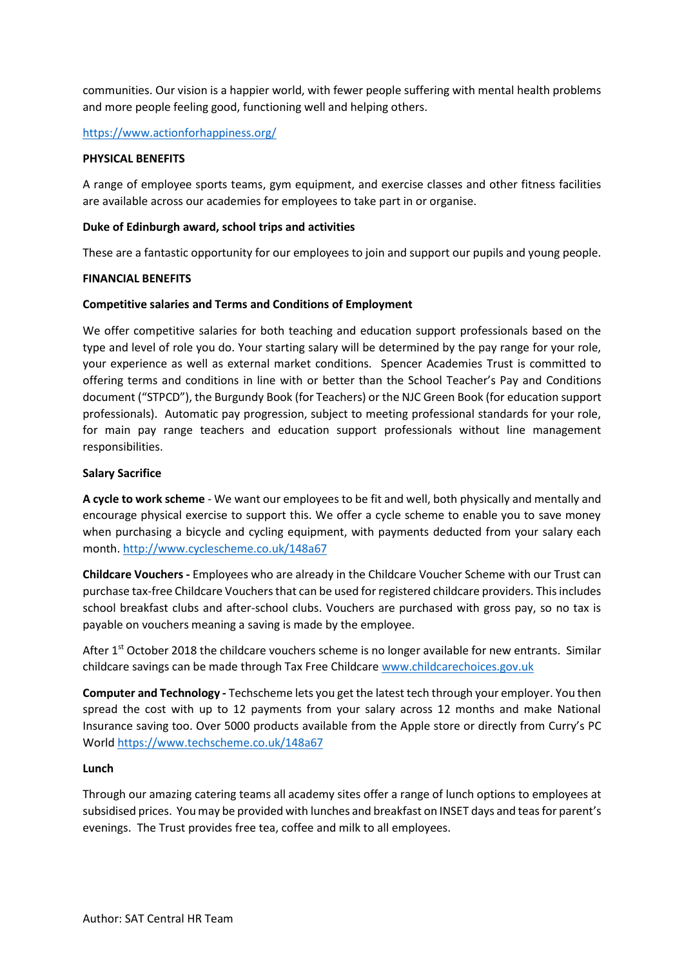communities. Our vision is a happier world, with fewer people suffering with mental health problems and more people feeling good, functioning well and helping others.

# <https://www.actionforhappiness.org/>

# **PHYSICAL BENEFITS**

A range of employee sports teams, gym equipment, and exercise classes and other fitness facilities are available across our academies for employees to take part in or organise.

## **Duke of Edinburgh award, school trips and activities**

These are a fantastic opportunity for our employees to join and support our pupils and young people.

## **FINANCIAL BENEFITS**

## **Competitive salaries and Terms and Conditions of Employment**

We offer competitive salaries for both teaching and education support professionals based on the type and level of role you do. Your starting salary will be determined by the pay range for your role, your experience as well as external market conditions. Spencer Academies Trust is committed to offering terms and conditions in line with or better than the School Teacher's Pay and Conditions document ("STPCD"), the Burgundy Book (for Teachers) or the NJC Green Book (for education support professionals). Automatic pay progression, subject to meeting professional standards for your role, for main pay range teachers and education support professionals without line management responsibilities.

## **Salary Sacrifice**

**A cycle to work scheme** - We want our employees to be fit and well, both physically and mentally and encourage physical exercise to support this. We offer a cycle scheme to enable you to save money when purchasing a bicycle and cycling equipment, with payments deducted from your salary each month. <http://www.cyclescheme.co.uk/148a67>

**Childcare Vouchers -** Employees who are already in the Childcare Voucher Scheme with our Trust can purchase tax-free Childcare Vouchers that can be used for registered childcare providers. This includes school breakfast clubs and after-school clubs. Vouchers are purchased with gross pay, so no tax is payable on vouchers meaning a saving is made by the employee.

After 1st October 2018 the childcare vouchers scheme is no longer available for new entrants. Similar childcare savings can be made through Tax Free Childcare [www.childcarechoices.gov.uk](http://www.childcarechoices.gov.uk/)

**Computer and Technology -** Techscheme lets you get the latest tech through your employer. You then spread the cost with up to 12 payments from your salary across 12 months and make National Insurance saving too. Over 5000 products available from the Apple store or directly from Curry's PC World <https://www.techscheme.co.uk/148a67>

# **Lunch**

Through our amazing catering teams all academy sites offer a range of lunch options to employees at subsidised prices. You may be provided with lunches and breakfast on INSET days and teas for parent's evenings. The Trust provides free tea, coffee and milk to all employees.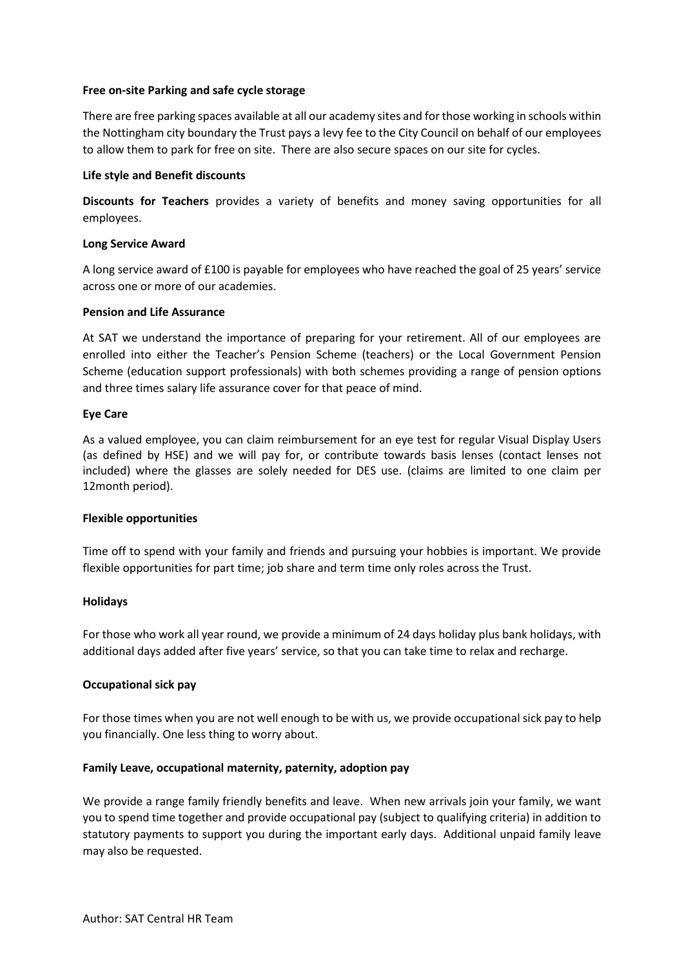## **Free on-site Parking and safe cycle storage**

There are free parking spaces available at all our academy sites and for those working in schools within the Nottingham city boundary the Trust pays a levy fee to the City Council on behalf of our employees to allow them to park for free on site. There are also secure spaces on our site for cycles.

## **Life style and Benefit discounts**

**Discounts for Teachers** provides a variety of benefits and money saving opportunities for all employees.

## **Long Service Award**

A long service award of £100 is payable for employees who have reached the goal of 25 years' service across one or more of our academies.

## **Pension and Life Assurance**

At SAT we understand the importance of preparing for your retirement. All of our employees are enrolled into either the Teacher's Pension Scheme (teachers) or the Local Government Pension Scheme (education support professionals) with both schemes providing a range of pension options and three times salary life assurance cover for that peace of mind.

## **Eye Care**

As a valued employee, you can claim reimbursement for an eye test for regular Visual Display Users (as defined by HSE) and we will pay for, or contribute towards basis lenses (contact lenses not included) where the glasses are solely needed for DES use. (claims are limited to one claim per 12month period).

#### **Flexible opportunities**

Time off to spend with your family and friends and pursuing your hobbies is important. We provide flexible opportunities for part time; job share and term time only roles across the Trust.

#### **Holidays**

For those who work all year round, we provide a minimum of 24 days holiday plus bank holidays, with additional days added after five years' service, so that you can take time to relax and recharge.

# **Occupational sick pay**

For those times when you are not well enough to be with us, we provide occupational sick pay to help you financially. One less thing to worry about.

# **Family Leave, occupational maternity, paternity, adoption pay**

We provide a range family friendly benefits and leave. When new arrivals join your family, we want you to spend time together and provide occupational pay (subject to qualifying criteria) in addition to statutory payments to support you during the important early days. Additional unpaid family leave may also be requested.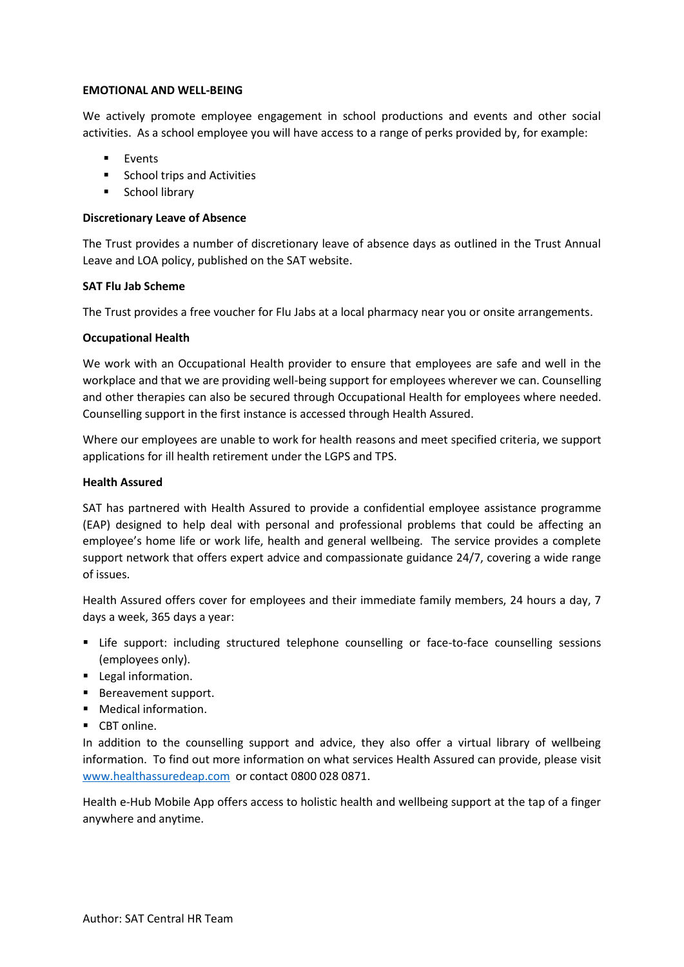## **EMOTIONAL AND WELL-BEING**

We actively promote employee engagement in school productions and events and other social activities. As a school employee you will have access to a range of perks provided by, for example:

- Events
- School trips and Activities
- School library

# **Discretionary Leave of Absence**

The Trust provides a number of discretionary leave of absence days as outlined in the Trust Annual Leave and LOA policy, published on the SAT website.

# **SAT Flu Jab Scheme**

The Trust provides a free voucher for Flu Jabs at a local pharmacy near you or onsite arrangements.

# **Occupational Health**

We work with an Occupational Health provider to ensure that employees are safe and well in the workplace and that we are providing well-being support for employees wherever we can. Counselling and other therapies can also be secured through Occupational Health for employees where needed. Counselling support in the first instance is accessed through Health Assured.

Where our employees are unable to work for health reasons and meet specified criteria, we support applications for ill health retirement under the LGPS and TPS.

# **Health Assured**

SAT has partnered with Health Assured to provide a confidential employee assistance programme (EAP) designed to help deal with personal and professional problems that could be affecting an employee's home life or work life, health and general wellbeing. The service provides a complete support network that offers expert advice and compassionate guidance 24/7, covering a wide range of issues.

Health Assured offers cover for employees and their immediate family members, 24 hours a day, 7 days a week, 365 days a year:

- **EXECT SUPPORE:** including structured telephone counselling or face-to-face counselling sessions (employees only).
- Legal information.
- Bereavement support.
- Medical information.
- CBT online.

In addition to the counselling support and advice, they also offer a virtual library of wellbeing information. To find out more information on what services Health Assured can provide, please visit [www.healthassuredeap.com](http://www.healthassuredeap.com/) or contact 0800 028 0871.

Health e-Hub Mobile App offers access to holistic health and wellbeing support at the tap of a finger anywhere and anytime.